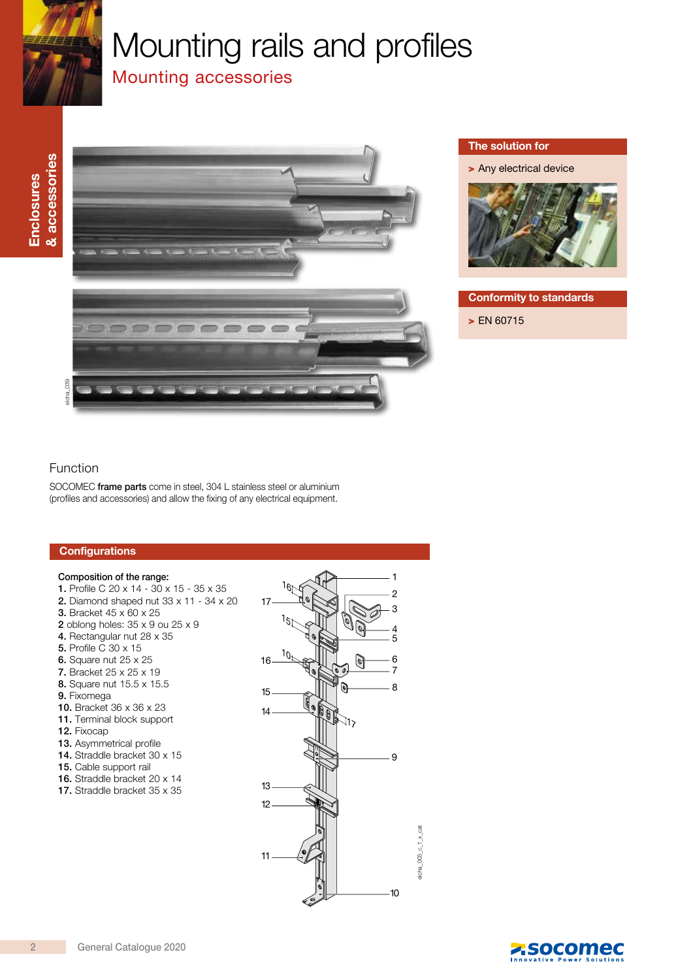

# Mounting rails and profiles

# Mounting accessories



#### The solution for

> Any electrical device



#### Conformity to standards

> EN 60715

#### Function

SOCOMEC frame parts come in steel, 304 L stainless steel or aluminium (profiles and accessories) and allow the fixing of any electrical equipment.

#### Composition of the range:

- 1. Profile C 20 x 14 30 x 15 35 x 35
- 2. Diamond shaped nut 33 x 11 34 x 20
- 3. Bracket 45 x 60 x 25
- 2 oblong holes: 35 x 9 ou 25 x 9
- 4. Rectangular nut 28 x 35
- 5. Profile C 30 x 15
- 6. Square nut 25 x 25
- 7. Bracket 25 x 25 x 19
- 8. Square nut 15.5 x 15.5
- 9. Fixomega
- 10. Bracket 36 x 36 x 23
- 11. Terminal block support
- 12. Fixocap
- 13. Asymmetrical profile
- 14. Straddle bracket 30 x 15
- 15. Cable support rail
- 16. Straddle bracket 20 x 14
- 17. Straddle bracket 35 x 35



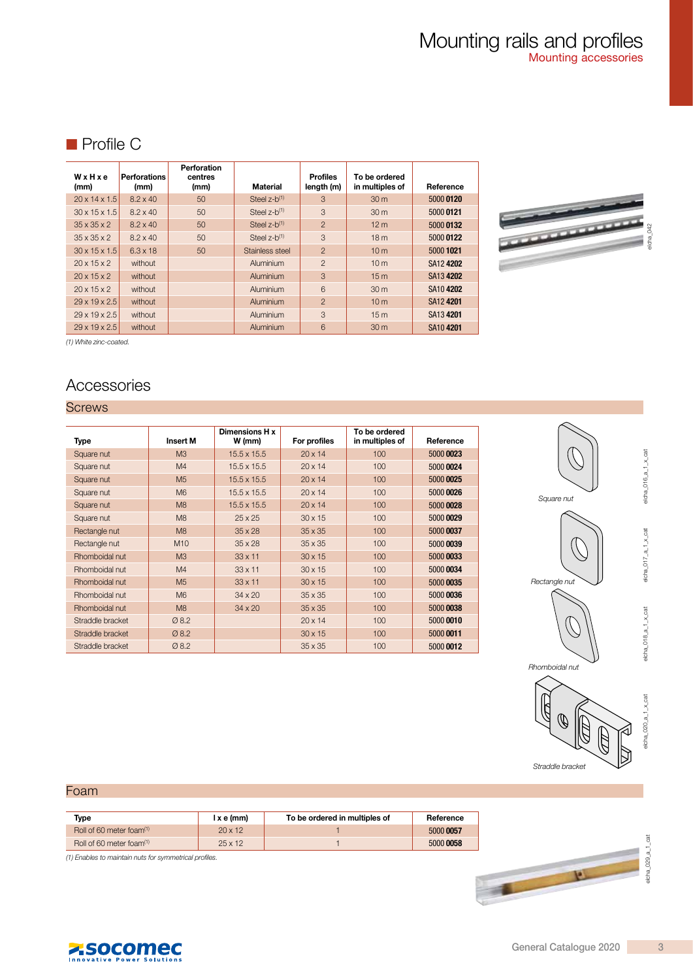# ■ Profile C

| WxHxe<br>(mm)             | <b>Perforations</b><br>(mm) | Perforation<br>centres<br>(mm) | <b>Material</b>   | <b>Profiles</b><br>length (m) | To be ordered<br>in multiples of | Reference |
|---------------------------|-----------------------------|--------------------------------|-------------------|-------------------------------|----------------------------------|-----------|
| $20 \times 14 \times 1.5$ | $8.2 \times 40$             | 50                             | Steel $z-b^{(1)}$ | 3                             | 30 m                             | 5000 0120 |
| $30 \times 15 \times 1.5$ | $8.2 \times 40$             | 50                             | Steel $z-b^{(1)}$ | 3                             | 30 <sub>m</sub>                  | 5000 0121 |
| $35 \times 35 \times 2$   | $8.2 \times 40$             | 50                             | Steel $z-b^{(1)}$ | $\overline{2}$                | 12 <sub>m</sub>                  | 5000 0132 |
| $35 \times 35 \times 2$   | $8.2 \times 40$             | 50                             | Steel $z-b^{(1)}$ | 3                             | 18 <sub>m</sub>                  | 5000 0122 |
| $30 \times 15 \times 1.5$ | $6.3 \times 18$             | 50                             | Stainless steel   | $\overline{2}$                | 10 <sub>m</sub>                  | 5000 1021 |
| $20 \times 15 \times 2$   | without                     |                                | Aluminium         | $\overline{2}$                | 10 <sub>m</sub>                  | SA12 4202 |
| $20 \times 15 \times 2$   | without                     |                                | Aluminium         | 3                             | 15 <sub>m</sub>                  | SA13 4202 |
| $20 \times 15 \times 2$   | without                     |                                | Aluminium         | 6                             | 30 <sub>m</sub>                  | SA104202  |
| $29 \times 19 \times 2.5$ | without                     |                                | Aluminium         | $\overline{2}$                | 10 <sub>m</sub>                  | SA12 4201 |
| $29 \times 19 \times 2.5$ | without                     |                                | Aluminium         | 3                             | 15 <sub>m</sub>                  | SA13 4201 |
| $29 \times 19 \times 2.5$ | without                     |                                | Aluminium         | 6                             | 30 <sub>m</sub>                  | SA10 4201 |



(1) White zinc-coated.

# **Accessories**

#### **Screws**

| Type             | <b>Insert M</b> | Dimensions H x<br>W (mm) | For profiles   | To be ordered<br>in multiples of | Reference |
|------------------|-----------------|--------------------------|----------------|----------------------------------|-----------|
| Square nut       | M <sub>3</sub>  | $15.5 \times 15.5$       | $20 \times 14$ | 100                              | 5000 0023 |
| Square nut       | M4              | $15.5 \times 15.5$       | $20 \times 14$ | 100                              | 5000 0024 |
| Square nut       | M <sub>5</sub>  | $15.5 \times 15.5$       | $20 \times 14$ | 100                              | 5000 0025 |
| Square nut       | M <sub>6</sub>  | $15.5 \times 15.5$       | $20 \times 14$ | 100                              | 5000 0026 |
| Square nut       | M8              | $15.5 \times 15.5$       | $20 \times 14$ | 100                              | 5000 0028 |
| Square nut       | M8              | $25 \times 25$           | $30 \times 15$ | 100                              | 5000 0029 |
| Rectangle nut    | M8              | $35 \times 28$           | $35 \times 35$ | 100                              | 5000 0037 |
| Rectangle nut    | M10             | $35 \times 28$           | $35 \times 35$ | 100                              | 5000 0039 |
| Rhomboidal nut   | M <sub>3</sub>  | $33 \times 11$           | $30 \times 15$ | 100                              | 5000 0033 |
| Rhomboidal nut   | M4              | $33 \times 11$           | $30 \times 15$ | 100                              | 5000 0034 |
| Rhomboidal nut   | M <sub>5</sub>  | $33 \times 11$           | $30 \times 15$ | 100                              | 5000 0035 |
| Rhomboidal nut   | M <sub>6</sub>  | $34 \times 20$           | $35 \times 35$ | 100                              | 5000 0036 |
| Rhomboidal nut   | M <sub>8</sub>  | $34 \times 20$           | $35 \times 35$ | 100                              | 5000 0038 |
| Straddle bracket | Ø 8.2           |                          | $20 \times 14$ | 100                              | 5000 0010 |
| Straddle bracket | Ø 8.2           |                          | $30 \times 15$ | 100                              | 5000 0011 |
| Straddle bracket | Ø 8.2           |                          | $35 \times 35$ | 100                              | 5000 0012 |



elcha\_016\_a\_1\_x\_cat

 $elcha_016_a_1_xcat$ 

elcha\_017\_a\_1\_x\_cat

 $e$ cha\_017\_a\_1\_x\_cat

elcha\_018\_a\_1\_x\_cat

 $e$ cha\_018\_a\_1\_x\_cat

elcha\_020\_a\_1\_x\_cat

 $olcha_020_a1_xcat$ 



#### Foam

| Tvpe                                 | lxe(mm)        | To be ordered in multiples of | Reference |
|--------------------------------------|----------------|-------------------------------|-----------|
| Roll of 60 meter foam <sup>(1)</sup> | 20x12          |                               | 5000 0057 |
| Roll of 60 meter foam <sup>(1)</sup> | $25 \times 12$ |                               | 5000 0058 |

(1) Enables to maintain nuts for symmetrical profiles.



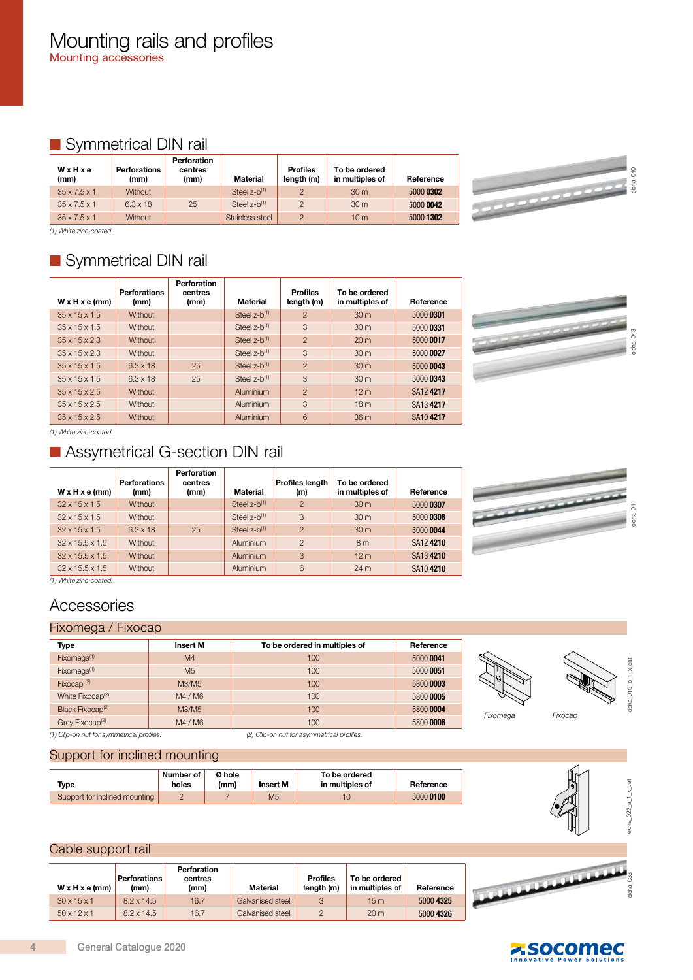# ■ Symmetrical DIN rail

| WxHxe<br>(mm)            | Perforations<br>(mm) | Perforation<br>centres<br>(mm) | Material                   | <b>Profiles</b><br>length (m) | To be ordered<br>in multiples of | Reference |
|--------------------------|----------------------|--------------------------------|----------------------------|-------------------------------|----------------------------------|-----------|
| $35 \times 7.5 \times 1$ | <b>Without</b>       |                                | Steel $z-b^{(1)}$          | $\overline{2}$                | 30 <sub>m</sub>                  | 5000 0302 |
| $35 \times 7.5 \times 1$ | $6.3 \times 18$      | 25                             | Steel $z-b$ <sup>(1)</sup> | $\overline{2}$                | 30 m                             | 5000 0042 |
| $35 \times 7.5 \times 1$ | <b>Without</b>       |                                | Stainless steel            | $\overline{2}$                | 10 <sub>m</sub>                  | 5000 1302 |

elcha\_040

(1) White zinc-coated.

# ■ Symmetrical DIN rail

| $W \times H \times e$ (mm) | <b>Perforations</b><br>(mm) | Perforation<br>centres<br>(mm) | Material          | <b>Profiles</b><br>length (m) | To be ordered<br>in multiples of | Reference |
|----------------------------|-----------------------------|--------------------------------|-------------------|-------------------------------|----------------------------------|-----------|
| $35 \times 15 \times 1.5$  | Without                     |                                | Steel $z-b^{(1)}$ | $\overline{2}$                | 30 <sub>m</sub>                  | 5000 0301 |
| $35 \times 15 \times 1.5$  | Without                     |                                | Steel $z-b^{(1)}$ | 3                             | 30 <sub>m</sub>                  | 5000 0331 |
| $35 \times 15 \times 2.3$  | Without                     |                                | Steel $z-b^{(1)}$ | $\overline{2}$                | 20 <sub>m</sub>                  | 5000 0017 |
| $35 \times 15 \times 2.3$  | Without                     |                                | Steel $z-b^{(1)}$ | 3                             | 30 <sub>m</sub>                  | 5000 0027 |
| $35 \times 15 \times 1.5$  | $6.3 \times 18$             | 25                             | Steel $z-b^{(1)}$ | $\overline{2}$                | 30 <sub>m</sub>                  | 5000 0043 |
| $35 \times 15 \times 1.5$  | $6.3 \times 18$             | 25                             | Steel $z-b^{(1)}$ | 3                             | 30 <sub>m</sub>                  | 5000 0343 |
| $35 \times 15 \times 2.5$  | Without                     |                                | Aluminium         | $\overline{2}$                | 12 <sub>m</sub>                  | SA12 4217 |
| $35 \times 15 \times 2.5$  | Without                     |                                | Aluminium         | 3                             | 18 <sub>m</sub>                  | SA134217  |
| $35 \times 15 \times 2.5$  | Without                     |                                | Aluminium         | 6                             | 36 m                             | SA104217  |

elcha\_043

(1) White zinc-coated.

# ■ Assymetrical G-section DIN rail

| W x H x e (mm)              | <b>Perforations</b><br>(mm) | Perforation<br>centres<br>(mm) | Material                   | <b>Profiles length</b><br>(m) | To be ordered<br>in multiples of | Reference |
|-----------------------------|-----------------------------|--------------------------------|----------------------------|-------------------------------|----------------------------------|-----------|
| $32 \times 15 \times 1.5$   | <b>Without</b>              |                                | Steel $z-b$ <sup>(1)</sup> | $\overline{2}$                | 30 <sub>m</sub>                  | 5000 0307 |
| $32 \times 15 \times 1.5$   | <b>Without</b>              |                                | Steel $z-b^{(1)}$          | 3                             | 30 <sub>m</sub>                  | 5000 0308 |
| $32 \times 15 \times 1.5$   | $6.3 \times 18$             | 25                             | Steel $z-b^{(1)}$          | $\overline{2}$                | 30 <sub>m</sub>                  | 5000 0044 |
| $32 \times 15.5 \times 1.5$ | Without                     |                                | Aluminium                  | 2                             | 8 <sub>m</sub>                   | SA12 4210 |
| $32 \times 15.5 \times 1.5$ | Without                     |                                | Aluminium                  | $\mathcal{S}$                 | 12 <sub>m</sub>                  | SA13 4210 |
| $32 \times 15.5 \times 1.5$ | <b>Without</b>              |                                | <b>Aluminium</b>           | 6                             | 24 <sub>m</sub>                  | SA10 4210 |

<u>ananana</u>

(1) White zinc-coated.

# **Accessories**

#### Fixomega / Fixocap

| Type                                      | <b>Insert M</b> | To be ordered in multiples of              | Reference |
|-------------------------------------------|-----------------|--------------------------------------------|-----------|
| Fixomega <sup>(1)</sup>                   | M4              | 100                                        | 5000 0041 |
| Fixomega <sup>(1)</sup>                   | M <sub>5</sub>  | 100                                        | 5000 0051 |
| Fixocap $(2)$                             | M3/M5           | 100                                        | 5800 0003 |
| White Fixocap <sup>(2)</sup>              | M4 / M6         | $100 -$                                    | 5800 0005 |
| Black Fixocap <sup>(2)</sup>              | M3/M5           | 100                                        | 5800 0004 |
| Grey Fixocap <sup>(2)</sup>               | M4 / M6         | 100                                        | 5800 0006 |
| (1) Clip-on nut for symmetrical profiles. |                 | (2) Clip-on nut for asymmetrical profiles. |           |



Fixomega Fixocap

elcha\_019\_b\_1\_x\_cat Icha 019  $b + x$  cat

elcha\_041

#### Support for inclined mounting

| Type                          | Number of<br>holes | Ø hole<br>(mm) | Insert M       | To be ordered<br>in multiples of | Reference |
|-------------------------------|--------------------|----------------|----------------|----------------------------------|-----------|
| Support for inclined mounting |                    |                | M <sub>5</sub> |                                  | 5000 0100 |



### Cable support rail

| $W \times H \times e$ (mm) | <b>Perforations</b><br>(mm) | Perforation<br>centres<br>(mm) | Material         | <b>Profiles</b><br>length (m) | To be ordered<br>in multiples of | Reference |
|----------------------------|-----------------------------|--------------------------------|------------------|-------------------------------|----------------------------------|-----------|
| $30 \times 15 \times 1$    | $8.2 \times 14.5$           | 16.7                           | Galvanised steel | 3                             | 15 <sub>m</sub>                  | 5000 4325 |
| $50 \times 12 \times 1$    | $8.2 \times 14.5$           | 16.7                           | Galvanised steel | っ                             | 20 <sub>m</sub>                  | 5000 4326 |